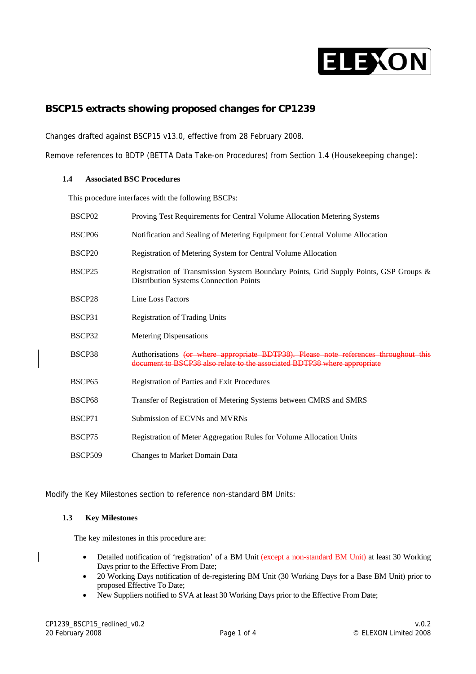

# **BSCP15 extracts showing proposed changes for CP1239**

Changes drafted against BSCP15 v13.0, effective from 28 February 2008.

Remove references to BDTP (BETTA Data Take-on Procedures) from Section 1.4 (Housekeeping change):

#### **1.4 Associated BSC Procedures**

This procedure interfaces with the following BSCPs:

| BSCP <sub>02</sub> | Proving Test Requirements for Central Volume Allocation Metering Systems                                                                                          |
|--------------------|-------------------------------------------------------------------------------------------------------------------------------------------------------------------|
| BSCP <sub>06</sub> | Notification and Sealing of Metering Equipment for Central Volume Allocation                                                                                      |
| BSCP <sub>20</sub> | Registration of Metering System for Central Volume Allocation                                                                                                     |
| BSCP25             | Registration of Transmission System Boundary Points, Grid Supply Points, GSP Groups &<br><b>Distribution Systems Connection Points</b>                            |
| BSCP28             | Line Loss Factors                                                                                                                                                 |
| BSCP31             | <b>Registration of Trading Units</b>                                                                                                                              |
| BSCP32             | <b>Metering Dispensations</b>                                                                                                                                     |
| BSCP38             | Authorisations (or where appropriate BDTP38). Please note references throughout this<br>document to BSCP38 also relate to the associated BDTP38 where appropriate |
| BSCP <sub>65</sub> | Registration of Parties and Exit Procedures                                                                                                                       |
| BSCP <sub>68</sub> | Transfer of Registration of Metering Systems between CMRS and SMRS                                                                                                |
| BSCP71             | Submission of ECVNs and MVRNs                                                                                                                                     |
| BSCP75             | Registration of Meter Aggregation Rules for Volume Allocation Units                                                                                               |
| BSCP509            | Changes to Market Domain Data                                                                                                                                     |

Modify the Key Milestones section to reference non-standard BM Units:

#### **1.3 Key Milestones**

The key milestones in this procedure are:

- Detailed notification of 'registration' of a BM Unit (except a non-standard BM Unit) at least 30 Working Days prior to the Effective From Date;
- 20 Working Days notification of de-registering BM Unit (30 Working Days for a Base BM Unit) prior to proposed Effective To Date;
- New Suppliers notified to SVA at least 30 Working Days prior to the Effective From Date;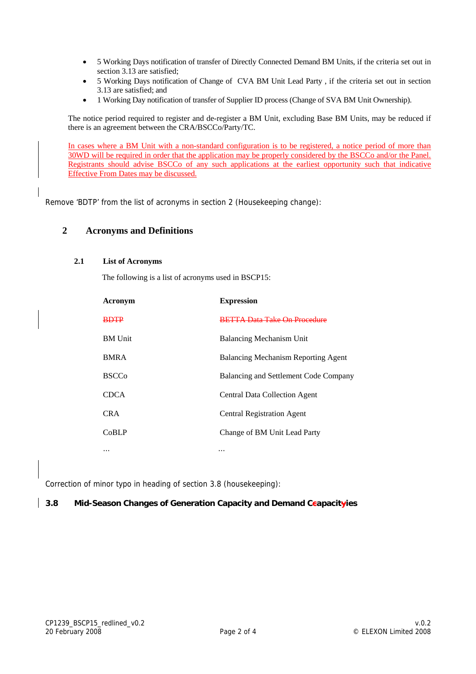- 5 Working Days notification of transfer of Directly Connected Demand BM Units, if the criteria set out in section 3.13 are satisfied;
- 5 Working Days notification of Change of CVA BM Unit Lead Party , if the criteria set out in section 3.13 are satisfied; and
- 1 Working Day notification of transfer of Supplier ID process (Change of SVA BM Unit Ownership).

The notice period required to register and de-register a BM Unit, excluding Base BM Units, may be reduced if there is an agreement between the CRA/BSCCo/Party/TC.

In cases where a BM Unit with a non-standard configuration is to be registered, a notice period of more than 30WD will be required in order that the application may be properly considered by the BSCCo and/or the Panel. Registrants should advise BSCCo of any such applications at the earliest opportunity such that indicative Effective From Dates may be discussed.

Remove 'BDTP' from the list of acronyms in section 2 (Housekeeping change):

### **2 Acronyms and Definitions**

### **2.1 List of Acronyms**

The following is a list of acronyms used in BSCP15:

| Acronym        | <b>Expression</b>                     |
|----------------|---------------------------------------|
| <b>BDTP</b>    | <b>BETTA Data Take On Procedure</b>   |
| <b>BM</b> Unit | Balancing Mechanism Unit              |
| <b>BMRA</b>    | Balancing Mechanism Reporting Agent   |
| <b>BSCCo</b>   | Balancing and Settlement Code Company |
| <b>CDCA</b>    | <b>Central Data Collection Agent</b>  |
| <b>CRA</b>     | <b>Central Registration Agent</b>     |
| CoBLP          | Change of BM Unit Lead Party          |
| $\cdots$       | $\cdots$                              |

Correction of minor typo in heading of section 3.8 (housekeeping):

#### **3.8 Mid-Season Changes of Generation Capacity and Demand Ccapacityies**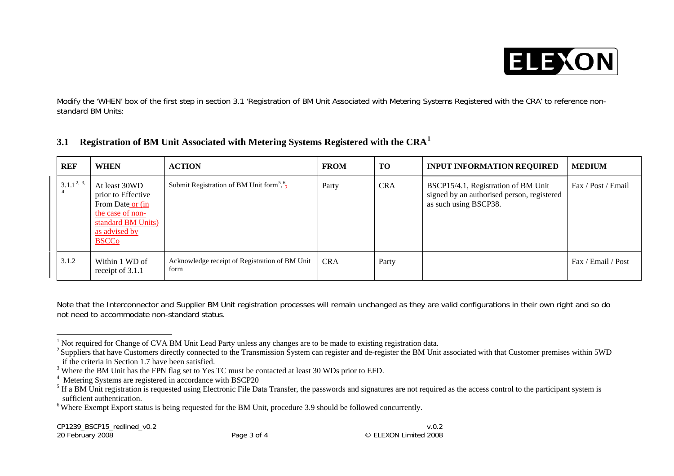

Modify the 'WHEN' box of the first step in section 3.1 'Registration of BM Unit Associated with Metering Systems Registered with the CRA' to reference nonstandard BM Units:

| <b>REF</b>    | <b>WHEN</b>                                                                                                                        | <b>ACTION</b>                                                    | <b>FROM</b> | TO         | <b>INPUT INFORMATION REQUIRED</b>                                                                          | <b>MEDIUM</b>      |
|---------------|------------------------------------------------------------------------------------------------------------------------------------|------------------------------------------------------------------|-------------|------------|------------------------------------------------------------------------------------------------------------|--------------------|
| $3.1.1^{2,3}$ | At least 30WD<br>prior to Effective<br>From Date or (in<br>the case of non-<br>standard BM Units)<br>as advised by<br><b>BSCCo</b> | Submit Registration of BM Unit form <sup>5</sup> , $\frac{6}{7}$ | Party       | <b>CRA</b> | BSCP15/4.1, Registration of BM Unit<br>signed by an authorised person, registered<br>as such using BSCP38. | Fax / Post / Email |
| 3.1.2         | Within 1 WD of<br>receipt of 3.1.1                                                                                                 | Acknowledge receipt of Registration of BM Unit<br>form           | <b>CRA</b>  | Party      |                                                                                                            | Fax / Email / Post |

# **3.1 Registration of BM Unit Associated with Metering Systems Registered with the CRA[1](#page-2-0)**

Note that the Interconnector and Supplier BM Unit registration processes will remain unchanged as they are valid configurations in their own right and so do not need to accommodate non-standard status.

<sup>1</sup> Not required for Change of CVA BM Unit Lead Party unless any changes are to be made to existing registration data.

<span id="page-2-1"></span><span id="page-2-0"></span><sup>&</sup>lt;sup>2</sup> Suppliers that have Customers directly connected to the Transmission System can register and de-register the BM Unit associated with that Customer premises within 5WD if the criteria in Section 1.7 have been satisfied.

<span id="page-2-2"></span><sup>&</sup>lt;sup>3</sup> Where the BM Unit has the FPN flag set to Yes TC must be contacted at least 30 WDs prior to EFD.

<span id="page-2-3"></span><sup>&</sup>lt;sup>4</sup> Metering Systems are registered in accordance with BSCP20

<span id="page-2-4"></span><sup>&</sup>lt;sup>5</sup> If a BM Unit registration is requested using Electronic File Data Transfer, the passwords and signatures are not required as the access control to the participant system is sufficient authentication.

<span id="page-2-5"></span><sup>&</sup>lt;sup>6</sup> Where Exempt Export status is being requested for the BM Unit, procedure 3.9 should be followed concurrently.